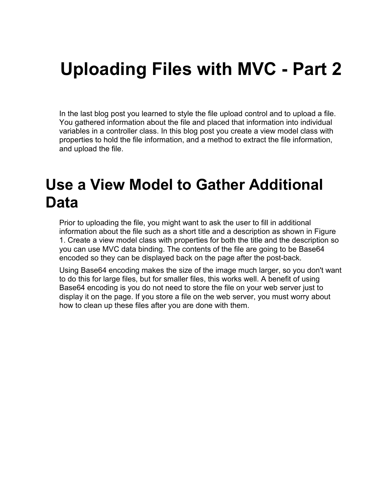# **Uploading Files with MVC - Part 2**

In the last blog post you learned to style the file upload control and to upload a file. You gathered information about the file and placed that information into individual variables in a controller class. In this blog post you create a view model class with properties to hold the file information, and a method to extract the file information, and upload the file.

## **Use a View Model to Gather Additional Data**

Prior to uploading the file, you might want to ask the user to fill in additional information about the file such as a short title and a description as shown in Figure 1. Create a view model class with properties for both the title and the description so you can use MVC data binding. The contents of the file are going to be Base64 encoded so they can be displayed back on the page after the post-back.

Using Base64 encoding makes the size of the image much larger, so you don't want to do this for large files, but for smaller files, this works well. A benefit of using Base64 encoding is you do not need to store the file on your web server just to display it on the page. If you store a file on the web server, you must worry about how to clean up these files after you are done with them.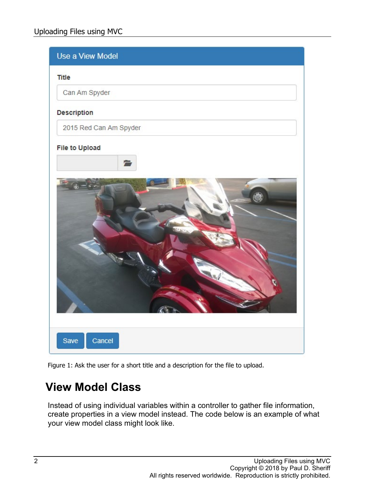

Figure 1: Ask the user for a short title and a description for the file to upload.

#### **View Model Class**

Instead of using individual variables within a controller to gather file information, create properties in a view model instead. The code below is an example of what your view model class might look like.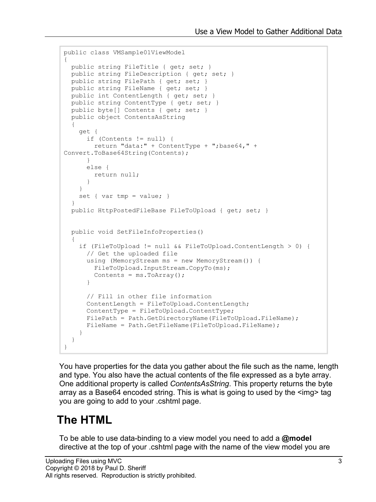```
public class VMSample01ViewModel
{
  public string FileTitle { get; set; }
  public string FileDescription { get; set; }
  public string FilePath { get; set; }
  public string FileName { get; set; }
  public int ContentLength { get; set; }
  public string ContentType { get; set; }
  public byte[] Contents { get; set; }
  public object ContentsAsString
  {
     get {
       if (Contents != null) {
         return "data:" + ContentType + ";base64," + 
Convert.ToBase64String(Contents);
       }
      else {
        return null;
       }
     }
   set { var tmp = value; }
 }
  public HttpPostedFileBase FileToUpload { get; set; }
  public void SetFileInfoProperties()
\{ if (FileToUpload != null && FileToUpload.ContentLength > 0) {
       // Get the uploaded file
       using (MemoryStream ms = new MemoryStream()) {
         FileToUpload.InputStream.CopyTo(ms);
        Contents = ms.ToArray();
       }
       // Fill in other file information
       ContentLength = FileToUpload.ContentLength;
       ContentType = FileToUpload.ContentType;
      FilePath = Path.GetDirectoryName(FileToUpload.FileName);
      FileName = Path.GetFileName(FileToUpload.FileName);
     }
   }
}
```
You have properties for the data you gather about the file such as the name, length and type. You also have the actual contents of the file expressed as a byte array. One additional property is called *ContentsAsString*. This property returns the byte array as a Base64 encoded string. This is what is going to used by the <img> tag you are going to add to your .cshtml page.

#### **The HTML**

To be able to use data-binding to a view model you need to add a **@model**  directive at the top of your .cshtml page with the name of the view model you are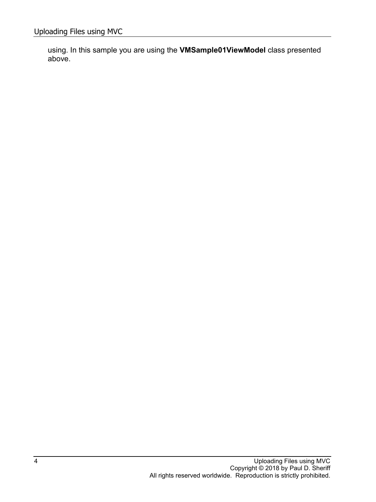using. In this sample you are using the **VMSample01ViewModel** class presented above.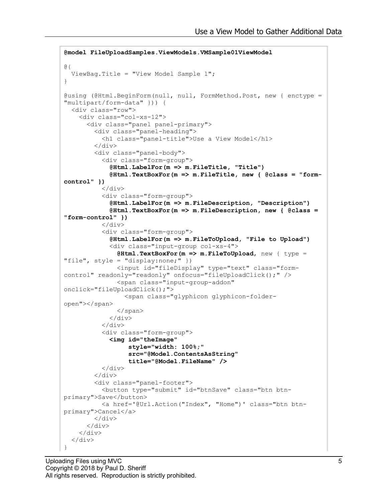```
@model FileUploadSamples.ViewModels.VMSample01ViewModel
@{
   ViewBag.Title = "View Model Sample 1";
}
@using (@Html.BeginForm(null, null, FormMethod.Post, new { enctype = 
"multipart/form-data" })) {
   <div class="row">
     <div class="col-xs-12">
       <div class="panel panel-primary">
          <div class="panel-heading">
            <h1 class="panel-title">Use a View Model</h1>
         \langle div>
         <div class="panel-body">
            <div class="form-group">
              @Html.LabelFor(m => m.FileTitle, "Title")
              @Html.TextBoxFor(m => m.FileTitle, new { @class = "form-
control" })
           \langle div>
            <div class="form-group">
              @Html.LabelFor(m => m.FileDescription, "Description")
              @Html.TextBoxFor(m => m.FileDescription, new { @class = 
"form-control" })
           \langle/div\rangle <div class="form-group">
              @Html.LabelFor(m => m.FileToUpload, "File to Upload")
              <div class="input-group col-xs-4">
                @Html.TextBoxFor(m => m.FileToUpload, new { type = 
"file", style = "display:none; "}
                <input id="fileDisplay" type="text" class="form-
control" readonly="readonly" onfocus="fileUploadClick();" />
                <span class="input-group-addon" 
onclick="fileUploadClick();">
                  <span class="glyphicon glyphicon-folder-
open"></span>
                </span>
              </div>
            </div>
            <div class="form-group">
              <img id="theImage"
                   style="width: 100%;"
                   src="@Model.ContentsAsString"
                   title="@Model.FileName" />
           \langle div>
         \langle div>
          <div class="panel-footer">
            <button type="submit" id="btnSave" class="btn btn-
primary">Save</button>
            <a href='@Url.Action("Index", "Home")' class="btn btn-
primary">Cancel</a>
        \langle div>
      \langle div>
    \langle div>
  \langle div>
}
```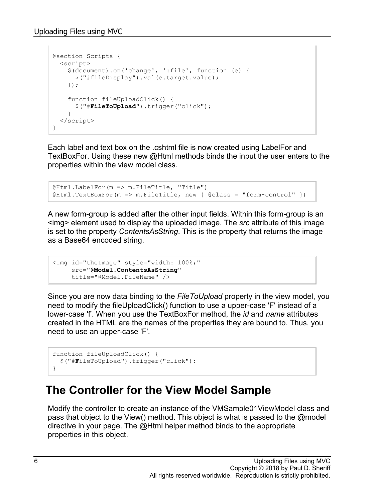```
@section Scripts {
  <script>
     $(document).on('change', ':file', function (e) {
       $("#fileDisplay").val(e.target.value);
     });
     function fileUploadClick() {
       $("#FileToUpload").trigger("click");
 }
   </script>
}
```
Each label and text box on the .cshtml file is now created using LabelFor and TextBoxFor. Using these new @Html methods binds the input the user enters to the properties within the view model class.

@Html.LabelFor(m => m.FileTitle, "Title") @Html.TextBoxFor(m => m.FileTitle, new { @class = "form-control" })

A new form-group is added after the other input fields. Within this form-group is an <img> element used to display the uploaded image. The *src* attribute of this image is set to the property *ContentsAsString*. This is the property that returns the image as a Base64 encoded string.

```
<img id="theImage" style="width: 100%;"
     src="@Model.ContentsAsString"
      title="@Model.FileName" />
```
Since you are now data binding to the *FileToUpload* property in the view model, you need to modify the fileUploadClick() function to use a upper-case 'F' instead of a lower-case 'f'. When you use the TextBoxFor method, the *id* and *name* attributes created in the HTML are the names of the properties they are bound to. Thus, you need to use an upper-case 'F'.

```
function fileUploadClick() {
  $("#FileToUpload").trigger("click");
}
```
#### **The Controller for the View Model Sample**

Modify the controller to create an instance of the VMSample01ViewModel class and pass that object to the View() method. This object is what is passed to the @model directive in your page. The @Html helper method binds to the appropriate properties in this object.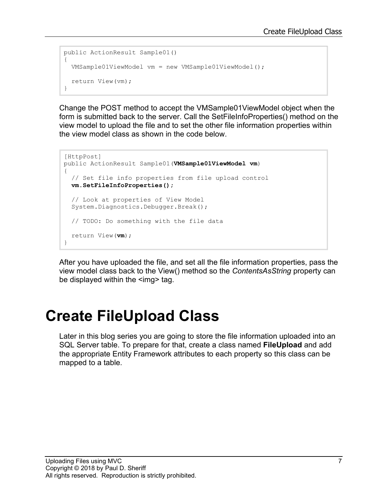```
public ActionResult Sample01()
{
  VMSample01ViewModel vm = new VMSample01ViewModel();
   return View(vm);
}
```
Change the POST method to accept the VMSample01ViewModel object when the form is submitted back to the server. Call the SetFileInfoProperties() method on the view model to upload the file and to set the other file information properties within the view model class as shown in the code below.

```
[HttpPost]
public ActionResult Sample01(VMSample01ViewModel vm)
{
  // Set file info properties from file upload control
  vm.SetFileInfoProperties();
  // Look at properties of View Model
   System.Diagnostics.Debugger.Break();
  // TODO: Do something with the file data
  return View(vm);
}
```
After you have uploaded the file, and set all the file information properties, pass the view model class back to the View() method so the *ContentsAsString* property can be displayed within the <img> tag.

# **Create FileUpload Class**

Later in this blog series you are going to store the file information uploaded into an SQL Server table. To prepare for that, create a class named **FileUpload** and add the appropriate Entity Framework attributes to each property so this class can be mapped to a table.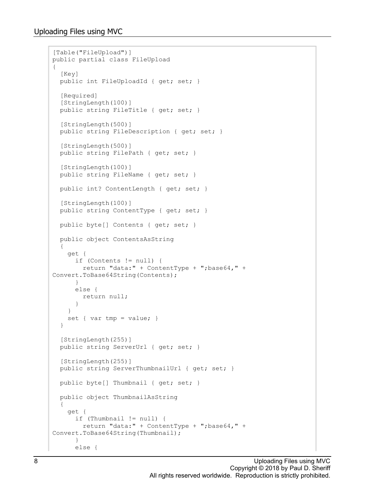```
[Table("FileUpload")]
public partial class FileUpload
{
   [Key]
  public int FileUploadId { get; set; }
  [Required]
   [StringLength(100)]
   public string FileTitle { get; set; }
   [StringLength(500)]
   public string FileDescription { get; set; }
   [StringLength(500)]
 public string FilePath { get; set; }
   [StringLength(100)]
 public string FileName { get; set; }
  public int? ContentLength { get; set; }
   [StringLength(100)]
   public string ContentType { get; set; }
  public byte[] Contents { get; set; }
  public object ContentsAsString
   {
     get {
       if (Contents != null) {
        return "data:" + ContentType + ";base64," + 
Convert.ToBase64String(Contents);
      }
       else {
        return null;
 }
     }
    set { var tmp = value; }
   }
   [StringLength(255)]
 public string ServerUrl { get; set; }
  [StringLength(255)]
  public string ServerThumbnailUrl { get; set; }
 public byte[] Thumbnail { get; set; }
  public object ThumbnailAsString
   {
     get {
       if (Thumbnail != null) {
        return "data:" + ContentType + ";base64," + 
Convert.ToBase64String(Thumbnail);
       }
       else {
```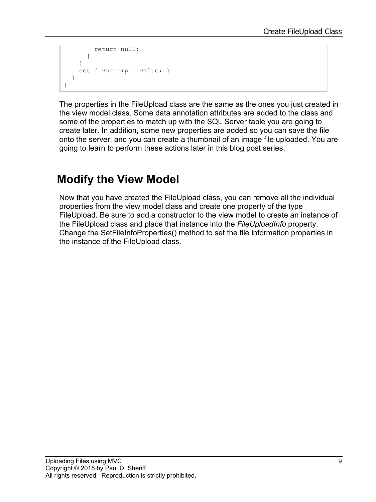```
 return null;
        }
     }
    set { var tmp = value; }
   }
}
```
The properties in the FileUpload class are the same as the ones you just created in the view model class. Some data annotation attributes are added to the class and some of the properties to match up with the SQL Server table you are going to create later. In addition, some new properties are added so you can save the file onto the server, and you can create a thumbnail of an image file uploaded. You are going to learn to perform these actions later in this blog post series.

### **Modify the View Model**

Now that you have created the FileUpload class, you can remove all the individual properties from the view model class and create one property of the type FileUpload. Be sure to add a constructor to the view model to create an instance of the FileUpload class and place that instance into the *FileUploadInfo* property. Change the SetFileInfoProperties() method to set the file information properties in the instance of the FileUpload class.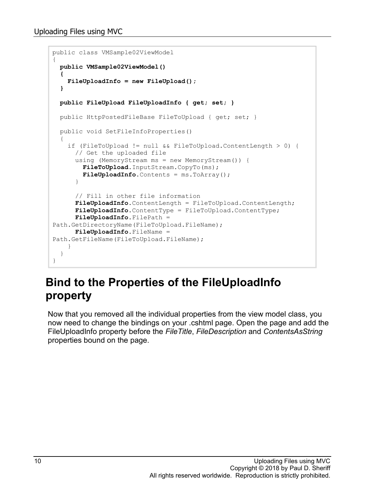```
public class VMSample02ViewModel
{
 public VMSample02ViewModel()
 {
     FileUploadInfo = new FileUpload();
   }
  public FileUpload FileUploadInfo { get; set; }
   public HttpPostedFileBase FileToUpload { get; set; }
  public void SetFileInfoProperties()
   {
     if (FileToUpload != null && FileToUpload.ContentLength > 0) {
       // Get the uploaded file
       using (MemoryStream ms = new MemoryStream()) {
         FileToUpload.InputStream.CopyTo(ms);
         FileUploadInfo.Contents = ms.ToArray();
 }
       // Fill in other file information
       FileUploadInfo.ContentLength = FileToUpload.ContentLength;
       FileUploadInfo.ContentType = FileToUpload.ContentType;
       FileUploadInfo.FilePath = 
Path.GetDirectoryName(FileToUpload.FileName);
       FileUploadInfo.FileName = 
Path.GetFileName(FileToUpload.FileName);
     }
   }
}
```
#### **Bind to the Properties of the FileUploadInfo property**

Now that you removed all the individual properties from the view model class, you now need to change the bindings on your .cshtml page. Open the page and add the FileUploadInfo property before the *FileTitle*, *FileDescription* and *ContentsAsString* properties bound on the page.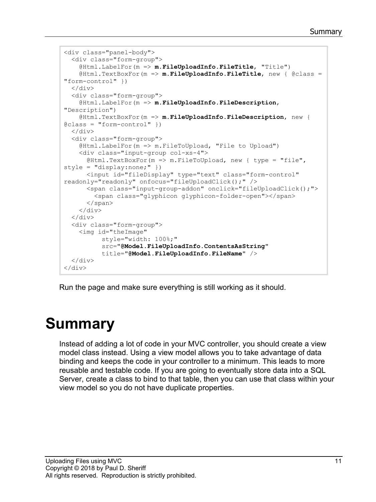```
<div class="panel-body">
  <div class="form-group">
     @Html.LabelFor(m => m.FileUploadInfo.FileTitle, "Title")
     @Html.TextBoxFor(m => m.FileUploadInfo.FileTitle, new { @class = 
"form-control" })
 \langle div\rangle <div class="form-group">
     @Html.LabelFor(m => m.FileUploadInfo.FileDescription, 
"Description")
     @Html.TextBoxFor(m => m.FileUploadInfo.FileDescription, new { 
\texttt{Class} = \texttt{''form-control''} })
 \langlediv\rangle <div class="form-group">
     @Html.LabelFor(m => m.FileToUpload, "File to Upload")
     <div class="input-group col-xs-4">
       @Html.TextBoxFor(m => m.FileToUpload, new { type = "file", 
style = "display:none;" })
       <input id="fileDisplay" type="text" class="form-control" 
readonly="readonly" onfocus="fileUploadClick();" />
      <span class="input-group-addon" onclick="fileUploadClick();">
         <span class="glyphicon glyphicon-folder-open"></span>
       </span>
    \langle div\rangle\langle div\rangle <div class="form-group">
     <img id="theImage"
            style="width: 100%;"
            src="@Model.FileUploadInfo.ContentsAsString"
           title="@Model.FileUploadInfo.FileName" />
   </div>
\langle div>
```
Run the page and make sure everything is still working as it should.

# **Summary**

Instead of adding a lot of code in your MVC controller, you should create a view model class instead. Using a view model allows you to take advantage of data binding and keeps the code in your controller to a minimum. This leads to more reusable and testable code. If you are going to eventually store data into a SQL Server, create a class to bind to that table, then you can use that class within your view model so you do not have duplicate properties.